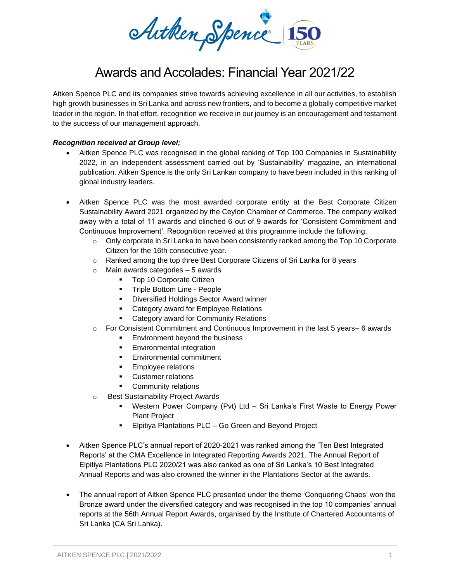Autken Spence 150

# Awards and Accolades: Financial Year 2021/22

Aitken Spence PLC and its companies strive towards achieving excellence in all our activities, to establish high growth businesses in Sri Lanka and across new frontiers, and to become a globally competitive market leader in the region. In that effort, recognition we receive in our journey is an encouragement and testament to the success of our management approach.

# *Recognition received at Group level;*

- Aitken Spence PLC was recognised in the global ranking of Top 100 Companies in Sustainability 2022, in an independent assessment carried out by 'Sustainability' magazine, an international publication. Aitken Spence is the only Sri Lankan company to have been included in this ranking of global industry leaders.
- Aitken Spence PLC was the most awarded corporate entity at the Best Corporate Citizen Sustainability Award 2021 organized by the Ceylon Chamber of Commerce. The company walked away with a total of 11 awards and clinched 6 out of 9 awards for 'Consistent Commitment and Continuous Improvement'. Recognition received at this programme include the following;
	- $\circ$  Only corporate in Sri Lanka to have been consistently ranked among the Top 10 Corporate Citizen for the 16th consecutive year.
	- o Ranked among the top three Best Corporate Citizens of Sri Lanka for 8 years
	- $\circ$  Main awards categories 5 awards
		- Top 10 Corporate Citizen
		- Triple Bottom Line People
		- Diversified Holdings Sector Award winner
		- Category award for Employee Relations
		- Category award for Community Relations
	- $\circ$  For Consistent Commitment and Continuous Improvement in the last 5 years– 6 awards
		- Environment beyond the business
		- **Environmental integration**
		- Environmental commitment
		- **Employee relations**
		- Customer relations
		- **•** Community relations
	- o Best Sustainability Project Awards
		- Western Power Company (Pvt) Ltd Sri Lanka's First Waste to Energy Power Plant Project
		- Elpitiya Plantations PLC Go Green and Beyond Project
- Aitken Spence PLC's annual report of 2020-2021 was ranked among the 'Ten Best Integrated Reports' at the CMA Excellence in Integrated Reporting Awards 2021. The Annual Report of Elpitiya Plantations PLC 2020/21 was also ranked as one of Sri Lanka's 10 Best Integrated Annual Reports and was also crowned the winner in the Plantations Sector at the awards.
- The annual report of Aitken Spence PLC presented under the theme 'Conquering Chaos' won the Bronze award under the diversified category and was recognised in the top 10 companies' annual reports at the 56th Annual Report Awards, organised by the Institute of Chartered Accountants of Sri Lanka (CA Sri Lanka).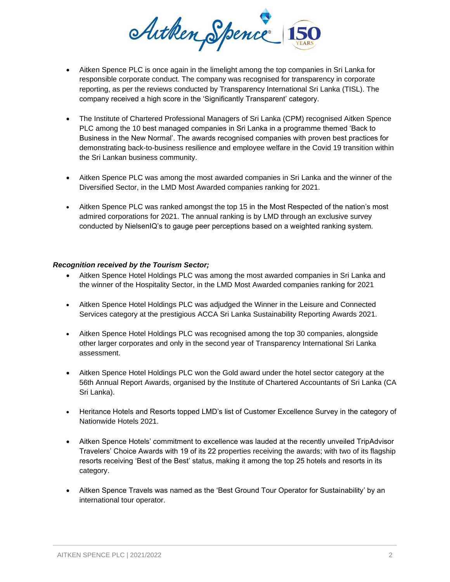

- Aitken Spence PLC is once again in the limelight among the top companies in Sri Lanka for responsible corporate conduct. The company was recognised for transparency in corporate reporting, as per the reviews conducted by Transparency International Sri Lanka (TISL). The company received a high score in the 'Significantly Transparent' category.
- The Institute of Chartered Professional Managers of Sri Lanka (CPM) recognised Aitken Spence PLC among the 10 best managed companies in Sri Lanka in a programme themed 'Back to Business in the New Normal'. The awards recognised companies with proven best practices for demonstrating back-to-business resilience and employee welfare in the Covid 19 transition within the Sri Lankan business community.
- Aitken Spence PLC was among the most awarded companies in Sri Lanka and the winner of the Diversified Sector, in the LMD Most Awarded companies ranking for 2021.
- Aitken Spence PLC was ranked amongst the top 15 in the Most Respected of the nation's most admired corporations for 2021. The annual ranking is by LMD through an exclusive survey conducted by NielsenIQ's to gauge peer perceptions based on a weighted ranking system.

# *Recognition received by the Tourism Sector;*

- Aitken Spence Hotel Holdings PLC was among the most awarded companies in Sri Lanka and the winner of the Hospitality Sector, in the LMD Most Awarded companies ranking for 2021
- Aitken Spence Hotel Holdings PLC was adjudged the Winner in the Leisure and Connected Services category at the prestigious ACCA Sri Lanka Sustainability Reporting Awards 2021.
- Aitken Spence Hotel Holdings PLC was recognised among the top 30 companies, alongside other larger corporates and only in the second year of Transparency International Sri Lanka assessment.
- Aitken Spence Hotel Holdings PLC won the Gold award under the hotel sector category at the 56th Annual Report Awards, organised by the Institute of Chartered Accountants of Sri Lanka (CA Sri Lanka).
- Heritance Hotels and Resorts topped LMD's list of Customer Excellence Survey in the category of Nationwide Hotels 2021.
- Aitken Spence Hotels' commitment to excellence was lauded at the recently unveiled TripAdvisor Travelers' Choice Awards with 19 of its 22 properties receiving the awards; with two of its flagship resorts receiving 'Best of the Best' status, making it among the top 25 hotels and resorts in its category.
- Aitken Spence Travels was named as the 'Best Ground Tour Operator for Sustainability' by an international tour operator.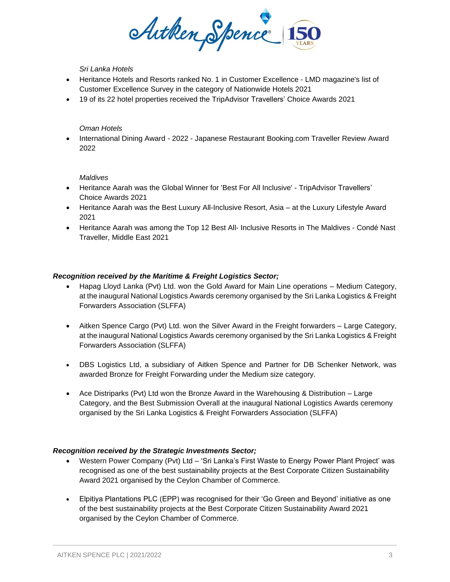ArtkenSpence

# *Sri Lanka Hotels*

- Heritance Hotels and Resorts ranked No. 1 in Customer Excellence LMD magazine's list of Customer Excellence Survey in the category of Nationwide Hotels 2021
- 19 of its 22 hotel properties received the TripAdvisor Travellers' Choice Awards 2021

### *Oman Hotels*

• International Dining Award - 2022 - Japanese Restaurant Booking.com Traveller Review Award 2022

# *Maldives*

- Heritance Aarah was the Global Winner for 'Best For All Inclusive' TripAdvisor Travellers' Choice Awards 2021
- Heritance Aarah was the Best Luxury All-Inclusive Resort, Asia at the Luxury Lifestyle Award 2021
- Heritance Aarah was among the Top 12 Best All- Inclusive Resorts in The Maldives Condé Nast Traveller, Middle East 2021

# *Recognition received by the Maritime & Freight Logistics Sector;*

- Hapag Lloyd Lanka (Pvt) Ltd. won the Gold Award for Main Line operations Medium Category, at the inaugural National Logistics Awards ceremony organised by the Sri Lanka Logistics & Freight Forwarders Association (SLFFA)
- Aitken Spence Cargo (Pvt) Ltd. won the Silver Award in the Freight forwarders Large Category, at the inaugural National Logistics Awards ceremony organised by the Sri Lanka Logistics & Freight Forwarders Association (SLFFA)
- DBS Logistics Ltd, a subsidiary of Aitken Spence and Partner for DB Schenker Network, was awarded Bronze for Freight Forwarding under the Medium size category.
- Ace Distriparks (Pvt) Ltd won the Bronze Award in the Warehousing & Distribution Large Category, and the Best Submission Overall at the inaugural National Logistics Awards ceremony organised by the Sri Lanka Logistics & Freight Forwarders Association (SLFFA)

#### *Recognition received by the Strategic Investments Sector;*

- Western Power Company (Pvt) Ltd 'Sri Lanka's First Waste to Energy Power Plant Project' was recognised as one of the best sustainability projects at the Best Corporate Citizen Sustainability Award 2021 organised by the Ceylon Chamber of Commerce.
- Elpitiya Plantations PLC (EPP) was recognised for their 'Go Green and Beyond' initiative as one of the best sustainability projects at the Best Corporate Citizen Sustainability Award 2021 organised by the Ceylon Chamber of Commerce.